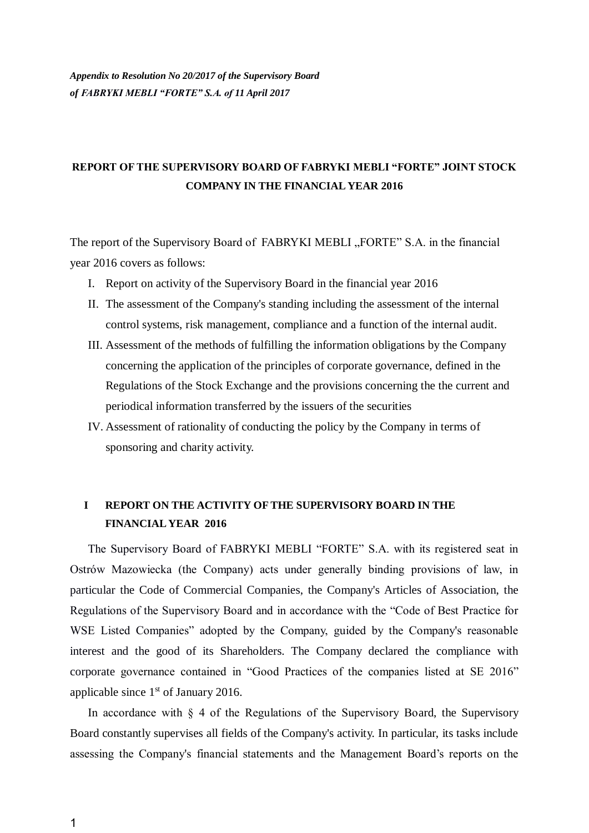## **REPORT OF THE SUPERVISORY BOARD OF FABRYKI MEBLI "FORTE" JOINT STOCK COMPANY IN THE FINANCIAL YEAR 2016**

The report of the Supervisory Board of FABRYKI MEBLI "FORTE" S.A. in the financial year 2016 covers as follows:

- I. Report on activity of the Supervisory Board in the financial year 2016
- II. The assessment of the Company's standing including the assessment of the internal control systems, risk management, compliance and a function of the internal audit.
- III. Assessment of the methods of fulfilling the information obligations by the Company concerning the application of the principles of corporate governance, defined in the Regulations of the Stock Exchange and the provisions concerning the the current and periodical information transferred by the issuers of the securities
- IV. Assessment of rationality of conducting the policy by the Company in terms of sponsoring and charity activity.

#### **I REPORT ON THE ACTIVITY OF THE SUPERVISORY BOARD IN THE FINANCIAL YEAR 2016**

The Supervisory Board of FABRYKI MEBLI "FORTE" S.A. with its registered seat in Ostrów Mazowiecka (the Company) acts under generally binding provisions of law, in particular the Code of Commercial Companies, the Company's Articles of Association, the Regulations of the Supervisory Board and in accordance with the "Code of Best Practice for WSE Listed Companies" adopted by the Company, guided by the Company's reasonable interest and the good of its Shareholders. The Company declared the compliance with corporate governance contained in "Good Practices of the companies listed at SE 2016" applicable since  $1<sup>st</sup>$  of January 2016.

In accordance with  $\S$  4 of the Regulations of the Supervisory Board, the Supervisory Board constantly supervises all fields of the Company's activity. In particular, its tasks include assessing the Company's financial statements and the Management Board's reports on the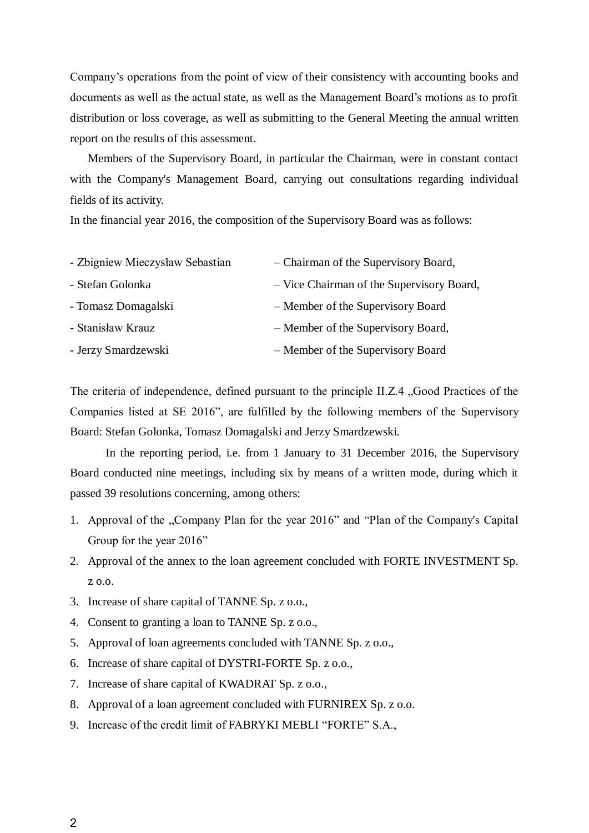Company's operations from the point of view of their consistency with accounting books and documents as well as the actual state, as well as the Management Board's motions as to profit distribution or loss coverage, as well as submitting to the General Meeting the annual written report on the results of this assessment.

Members of the Supervisory Board, in particular the Chairman, were in constant contact with the Company's Management Board, carrying out consultations regarding individual fields of its activity.

In the financial year 2016, the composition of the Supervisory Board was as follows:

| - Zbigniew Mieczysław Sebastian | - Chairman of the Supervisory Board,      |
|---------------------------------|-------------------------------------------|
| - Stefan Golonka                | - Vice Chairman of the Supervisory Board, |
| - Tomasz Domagalski             | - Member of the Supervisory Board         |
| - Stanisław Krauz               | - Member of the Supervisory Board,        |
| - Jerzy Smardzewski             | - Member of the Supervisory Board         |

The criteria of independence, defined pursuant to the principle II.Z.4 , Good Practices of the Companies listed at SE 2016", are fulfilled by the following members of the Supervisory Board: Stefan Golonka, Tomasz Domagalski and Jerzy Smardzewski.

In the reporting period, i.e. from 1 January to 31 December 2016, the Supervisory Board conducted nine meetings, including six by means of a written mode, during which it passed 39 resolutions concerning, among others:

- 1. Approval of the "Company Plan for the year 2016" and "Plan of the Company's Capital Group for the year 2016"
- 2. Approval of the annex to the loan agreement concluded with FORTE INVESTMENT Sp. z o.o.
- 3. Increase of share capital of TANNE Sp. z o.o.,
- 4. Consent to granting a loan to TANNE Sp. z o.o.,
- 5. Approval of loan agreements concluded with TANNE Sp. z o.o.,
- 6. Increase of share capital of DYSTRI-FORTE Sp. z o.o.,
- 7. Increase of share capital of KWADRAT Sp. z o.o.,
- 8. Approval of a loan agreement concluded with FURNIREX Sp. z o.o.
- 9. Increase of the credit limit of FABRYKI MEBLI "FORTE" S.A.,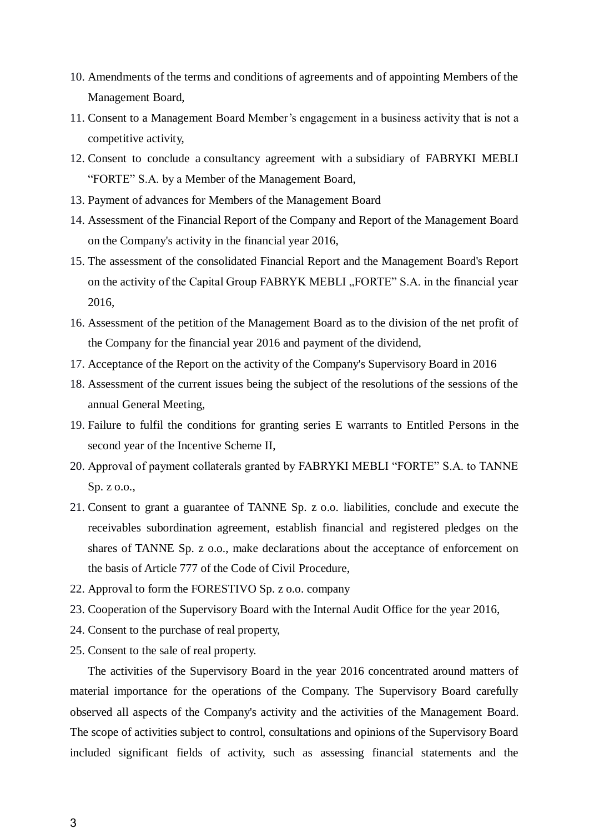- 10. Amendments of the terms and conditions of agreements and of appointing Members of the Management Board,
- 11. Consent to a Management Board Member's engagement in a business activity that is not a competitive activity,
- 12. Consent to conclude a consultancy agreement with a subsidiary of FABRYKI MEBLI "FORTE" S.A. by a Member of the Management Board,
- 13. Payment of advances for Members of the Management Board
- 14. Assessment of the Financial Report of the Company and Report of the Management Board on the Company's activity in the financial year 2016,
- 15. The assessment of the consolidated Financial Report and the Management Board's Report on the activity of the Capital Group FABRYK MEBLI "FORTE" S.A. in the financial year 2016,
- 16. Assessment of the petition of the Management Board as to the division of the net profit of the Company for the financial year 2016 and payment of the dividend,
- 17. Acceptance of the Report on the activity of the Company's Supervisory Board in 2016
- 18. Assessment of the current issues being the subject of the resolutions of the sessions of the annual General Meeting,
- 19. Failure to fulfil the conditions for granting series E warrants to Entitled Persons in the second year of the Incentive Scheme II,
- 20. Approval of payment collaterals granted by FABRYKI MEBLI "FORTE" S.A. to TANNE Sp. z o.o.,
- 21. Consent to grant a guarantee of TANNE Sp. z o.o. liabilities, conclude and execute the receivables subordination agreement, establish financial and registered pledges on the shares of TANNE Sp. z o.o., make declarations about the acceptance of enforcement on the basis of Article 777 of the Code of Civil Procedure,
- 22. Approval to form the FORESTIVO Sp. z o.o. company
- 23. Cooperation of the Supervisory Board with the Internal Audit Office for the year 2016,
- 24. Consent to the purchase of real property,
- 25. Consent to the sale of real property.

The activities of the Supervisory Board in the year 2016 concentrated around matters of material importance for the operations of the Company. The Supervisory Board carefully observed all aspects of the Company's activity and the activities of the Management Board. The scope of activities subject to control, consultations and opinions of the Supervisory Board included significant fields of activity, such as assessing financial statements and the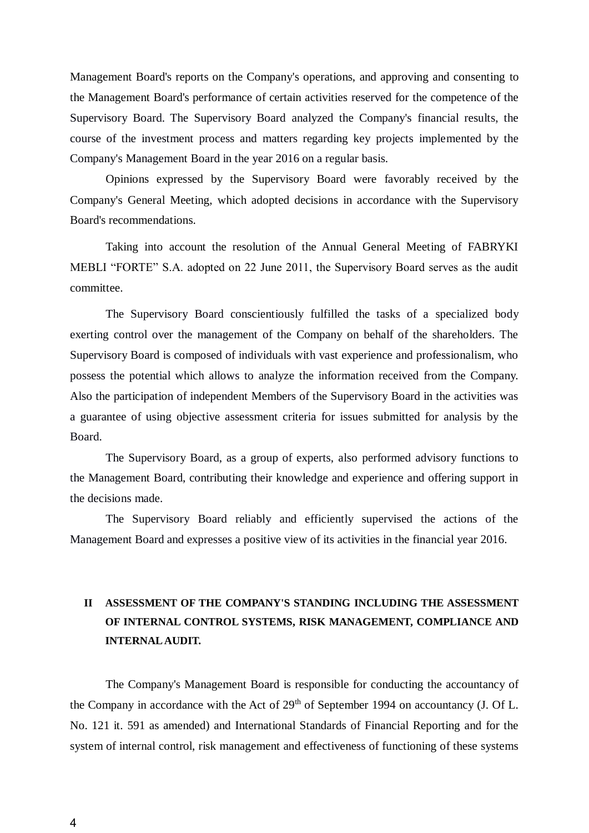Management Board's reports on the Company's operations, and approving and consenting to the Management Board's performance of certain activities reserved for the competence of the Supervisory Board. The Supervisory Board analyzed the Company's financial results, the course of the investment process and matters regarding key projects implemented by the Company's Management Board in the year 2016 on a regular basis.

Opinions expressed by the Supervisory Board were favorably received by the Company's General Meeting, which adopted decisions in accordance with the Supervisory Board's recommendations.

Taking into account the resolution of the Annual General Meeting of FABRYKI MEBLI "FORTE" S.A. adopted on 22 June 2011, the Supervisory Board serves as the audit committee.

The Supervisory Board conscientiously fulfilled the tasks of a specialized body exerting control over the management of the Company on behalf of the shareholders. The Supervisory Board is composed of individuals with vast experience and professionalism, who possess the potential which allows to analyze the information received from the Company. Also the participation of independent Members of the Supervisory Board in the activities was a guarantee of using objective assessment criteria for issues submitted for analysis by the Board.

The Supervisory Board, as a group of experts, also performed advisory functions to the Management Board, contributing their knowledge and experience and offering support in the decisions made.

The Supervisory Board reliably and efficiently supervised the actions of the Management Board and expresses a positive view of its activities in the financial year 2016.

# **II ASSESSMENT OF THE COMPANY'S STANDING INCLUDING THE ASSESSMENT OF INTERNAL CONTROL SYSTEMS, RISK MANAGEMENT, COMPLIANCE AND INTERNAL AUDIT.**

The Company's Management Board is responsible for conducting the accountancy of the Company in accordance with the Act of  $29<sup>th</sup>$  of September 1994 on accountancy (J. Of L. No. 121 it. 591 as amended) and International Standards of Financial Reporting and for the system of internal control, risk management and effectiveness of functioning of these systems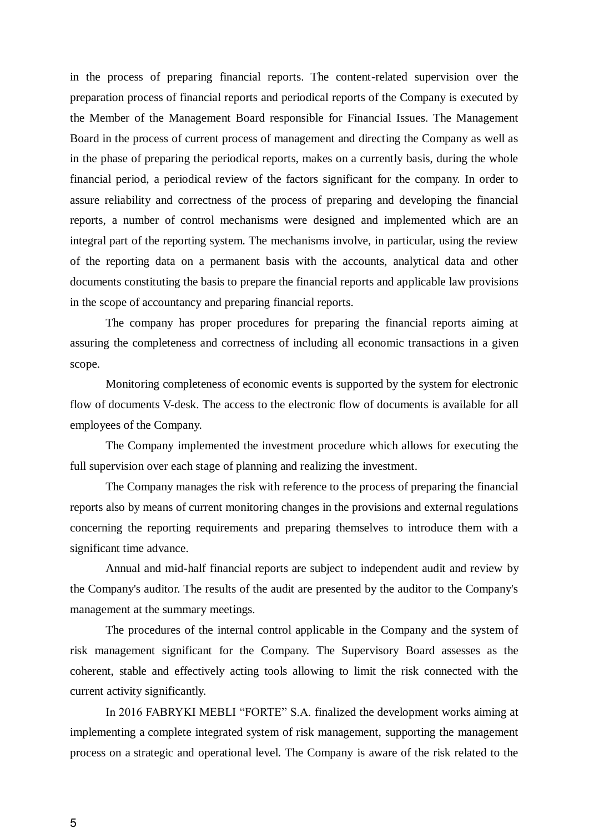in the process of preparing financial reports. The content-related supervision over the preparation process of financial reports and periodical reports of the Company is executed by the Member of the Management Board responsible for Financial Issues. The Management Board in the process of current process of management and directing the Company as well as in the phase of preparing the periodical reports, makes on a currently basis, during the whole financial period, a periodical review of the factors significant for the company. In order to assure reliability and correctness of the process of preparing and developing the financial reports, a number of control mechanisms were designed and implemented which are an integral part of the reporting system. The mechanisms involve, in particular, using the review of the reporting data on a permanent basis with the accounts, analytical data and other documents constituting the basis to prepare the financial reports and applicable law provisions in the scope of accountancy and preparing financial reports.

The company has proper procedures for preparing the financial reports aiming at assuring the completeness and correctness of including all economic transactions in a given scope.

Monitoring completeness of economic events is supported by the system for electronic flow of documents V-desk. The access to the electronic flow of documents is available for all employees of the Company.

The Company implemented the investment procedure which allows for executing the full supervision over each stage of planning and realizing the investment.

The Company manages the risk with reference to the process of preparing the financial reports also by means of current monitoring changes in the provisions and external regulations concerning the reporting requirements and preparing themselves to introduce them with a significant time advance.

Annual and mid-half financial reports are subject to independent audit and review by the Company's auditor. The results of the audit are presented by the auditor to the Company's management at the summary meetings.

The procedures of the internal control applicable in the Company and the system of risk management significant for the Company. The Supervisory Board assesses as the coherent, stable and effectively acting tools allowing to limit the risk connected with the current activity significantly.

In 2016 FABRYKI MEBLI "FORTE" S.A. finalized the development works aiming at implementing a complete integrated system of risk management, supporting the management process on a strategic and operational level. The Company is aware of the risk related to the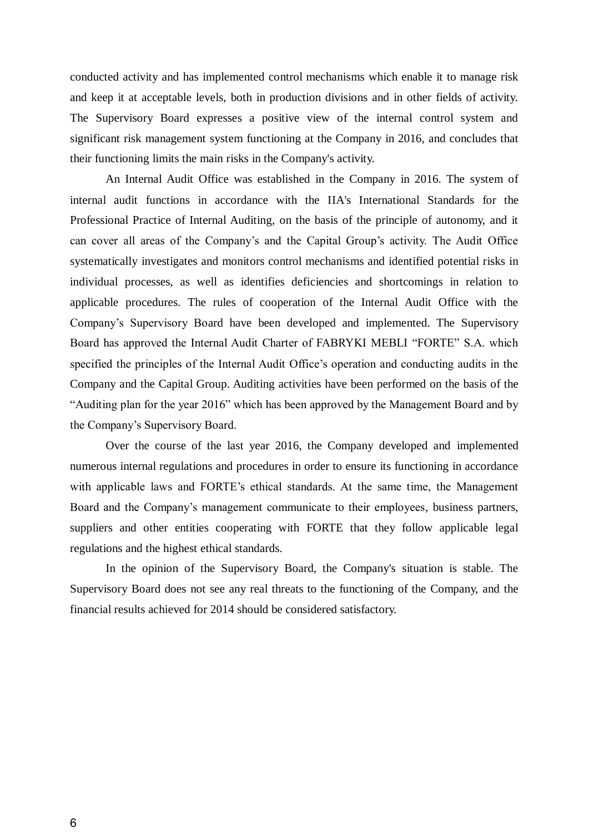conducted activity and has implemented control mechanisms which enable it to manage risk and keep it at acceptable levels, both in production divisions and in other fields of activity. The Supervisory Board expresses a positive view of the internal control system and significant risk management system functioning at the Company in 2016, and concludes that their functioning limits the main risks in the Company's activity.

An Internal Audit Office was established in the Company in 2016. The system of internal audit functions in accordance with the IIA's International Standards for the Professional Practice of Internal Auditing, on the basis of the principle of autonomy, and it can cover all areas of the Company's and the Capital Group's activity. The Audit Office systematically investigates and monitors control mechanisms and identified potential risks in individual processes, as well as identifies deficiencies and shortcomings in relation to applicable procedures. The rules of cooperation of the Internal Audit Office with the Company's Supervisory Board have been developed and implemented. The Supervisory Board has approved the Internal Audit Charter of FABRYKI MEBLI "FORTE" S.A. which specified the principles of the Internal Audit Office's operation and conducting audits in the Company and the Capital Group. Auditing activities have been performed on the basis of the "Auditing plan for the year 2016" which has been approved by the Management Board and by the Company's Supervisory Board.

Over the course of the last year 2016, the Company developed and implemented numerous internal regulations and procedures in order to ensure its functioning in accordance with applicable laws and FORTE's ethical standards. At the same time, the Management Board and the Company's management communicate to their employees, business partners, suppliers and other entities cooperating with FORTE that they follow applicable legal regulations and the highest ethical standards.

In the opinion of the Supervisory Board, the Company's situation is stable. The Supervisory Board does not see any real threats to the functioning of the Company, and the financial results achieved for 2014 should be considered satisfactory.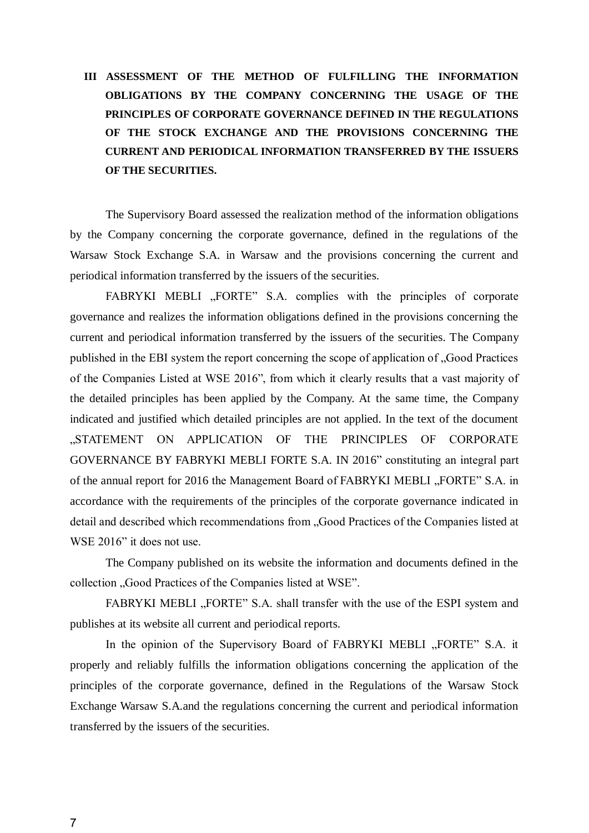# **III ASSESSMENT OF THE METHOD OF FULFILLING THE INFORMATION OBLIGATIONS BY THE COMPANY CONCERNING THE USAGE OF THE PRINCIPLES OF CORPORATE GOVERNANCE DEFINED IN THE REGULATIONS OF THE STOCK EXCHANGE AND THE PROVISIONS CONCERNING THE CURRENT AND PERIODICAL INFORMATION TRANSFERRED BY THE ISSUERS OF THE SECURITIES.**

The Supervisory Board assessed the realization method of the information obligations by the Company concerning the corporate governance, defined in the regulations of the Warsaw Stock Exchange S.A. in Warsaw and the provisions concerning the current and periodical information transferred by the issuers of the securities.

FABRYKI MEBLI "FORTE" S.A. complies with the principles of corporate governance and realizes the information obligations defined in the provisions concerning the current and periodical information transferred by the issuers of the securities. The Company published in the EBI system the report concerning the scope of application of "Good Practices of the Companies Listed at WSE 2016", from which it clearly results that a vast majority of the detailed principles has been applied by the Company. At the same time, the Company indicated and justified which detailed principles are not applied. In the text of the document "STATEMENT ON APPLICATION OF THE PRINCIPLES OF CORPORATE GOVERNANCE BY FABRYKI MEBLI FORTE S.A. IN 2016" constituting an integral part of the annual report for 2016 the Management Board of FABRYKI MEBLI "FORTE" S.A. in accordance with the requirements of the principles of the corporate governance indicated in detail and described which recommendations from "Good Practices of the Companies listed at WSE 2016" it does not use.

The Company published on its website the information and documents defined in the collection "Good Practices of the Companies listed at WSE".

FABRYKI MEBLI "FORTE" S.A. shall transfer with the use of the ESPI system and publishes at its website all current and periodical reports.

In the opinion of the Supervisory Board of FABRYKI MEBLI "FORTE" S.A. it properly and reliably fulfills the information obligations concerning the application of the principles of the corporate governance, defined in the Regulations of the Warsaw Stock Exchange Warsaw S.A.and the regulations concerning the current and periodical information transferred by the issuers of the securities.